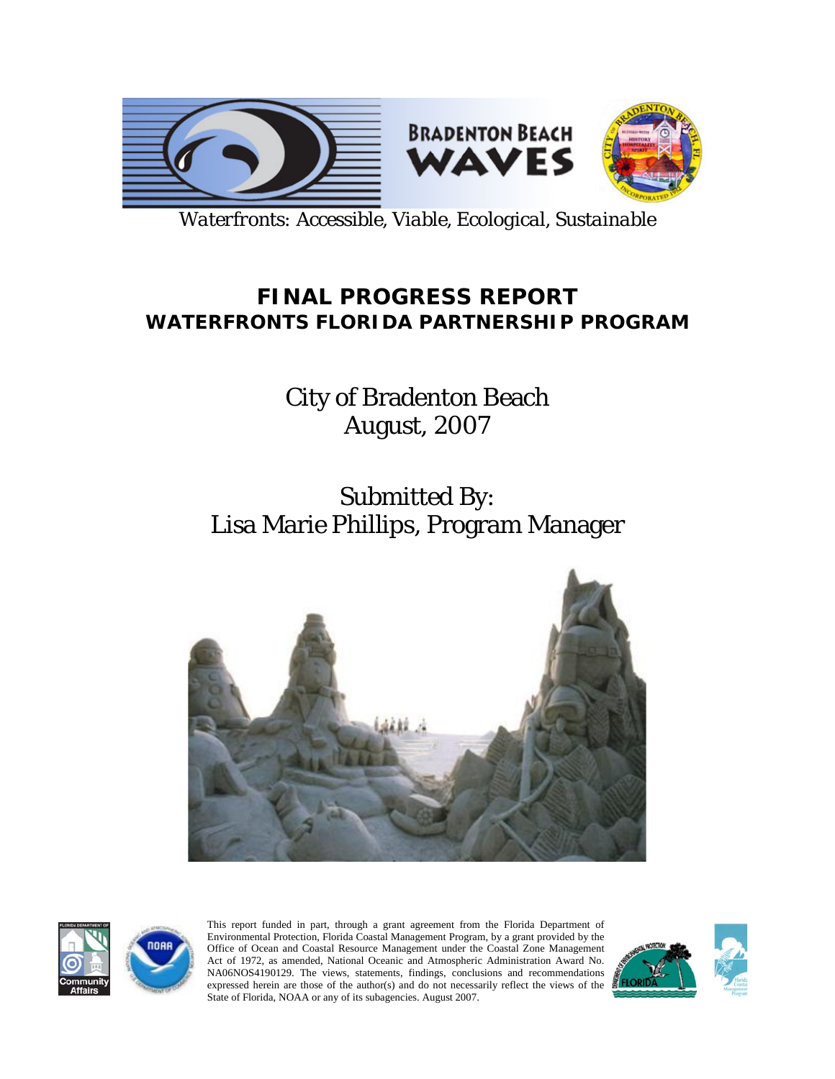

*Waterfronts: Accessible, Viable, Ecological, Sustainable*

# **FINAL PROGRESS REPORT WATERFRONTS FLORIDA PARTNERSHIP PROGRAM**

City of Bradenton Beach August, 2007

# Submitted By: Lisa Marie Phillips, Program Manager





This report funded in part, through a grant agreement from the Florida Department of Environmental Protection, Florida Coastal Management Program, by a grant provided by the Office of Ocean and Coastal Resource Management under the Coastal Zone Management Act of 1972, as amended, National Oceanic and Atmospheric Administration Award No. NA06NOS4190129. The views, statements, findings, conclusions and recommendations expressed herein are those of the author(s) and do not necessarily reflect the views of the State of Florida, NOAA or any of its subagencies. August 2007.

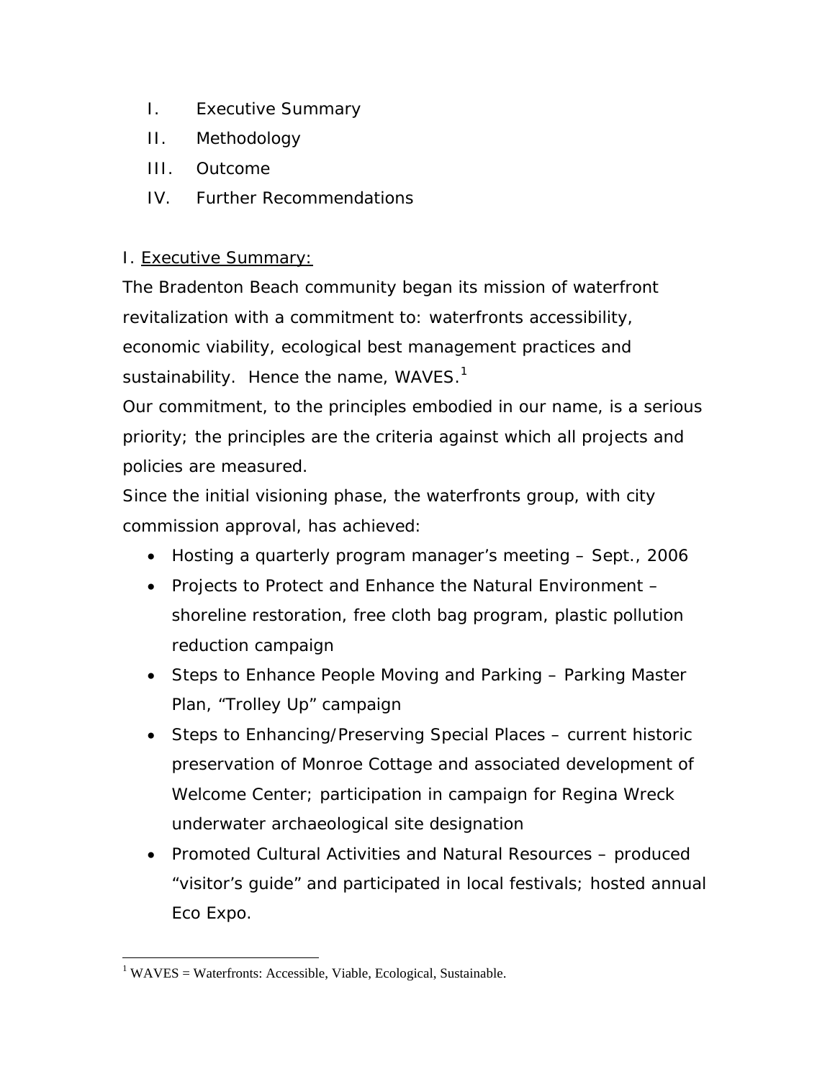- I. Executive Summary
- II. Methodology
- III. Outcome
- IV. Further Recommendations

## I. Executive Summary:

The Bradenton Beach community began its mission of waterfront revitalization with a commitment to: waterfronts accessibility, economic viability, ecological best management practices and sustainability. Hence the name,  $WAVES.<sup>1</sup>$ 

Our commitment, to the principles embodied in our name, is a serious priority; the principles are the criteria against which all projects and policies are measured.

Since the initial visioning phase, the waterfronts group, with city commission approval, has achieved:

- Hosting a quarterly program manager's meeting Sept., 2006
- Projects to Protect and Enhance the Natural Environment shoreline restoration, free cloth bag program, plastic pollution reduction campaign
- Steps to Enhance People Moving and Parking Parking Master Plan, "Trolley Up" campaign
- Steps to Enhancing/Preserving Special Places current historic preservation of Monroe Cottage and associated development of Welcome Center; participation in campaign for *Regina Wreck* underwater archaeological site designation
- Promoted Cultural Activities and Natural Resources produced "visitor's guide" and participated in local festivals; hosted annual *Eco Expo*.

<sup>&</sup>lt;u>.</u>  $1$  WAVES = Waterfronts: Accessible, Viable, Ecological, Sustainable.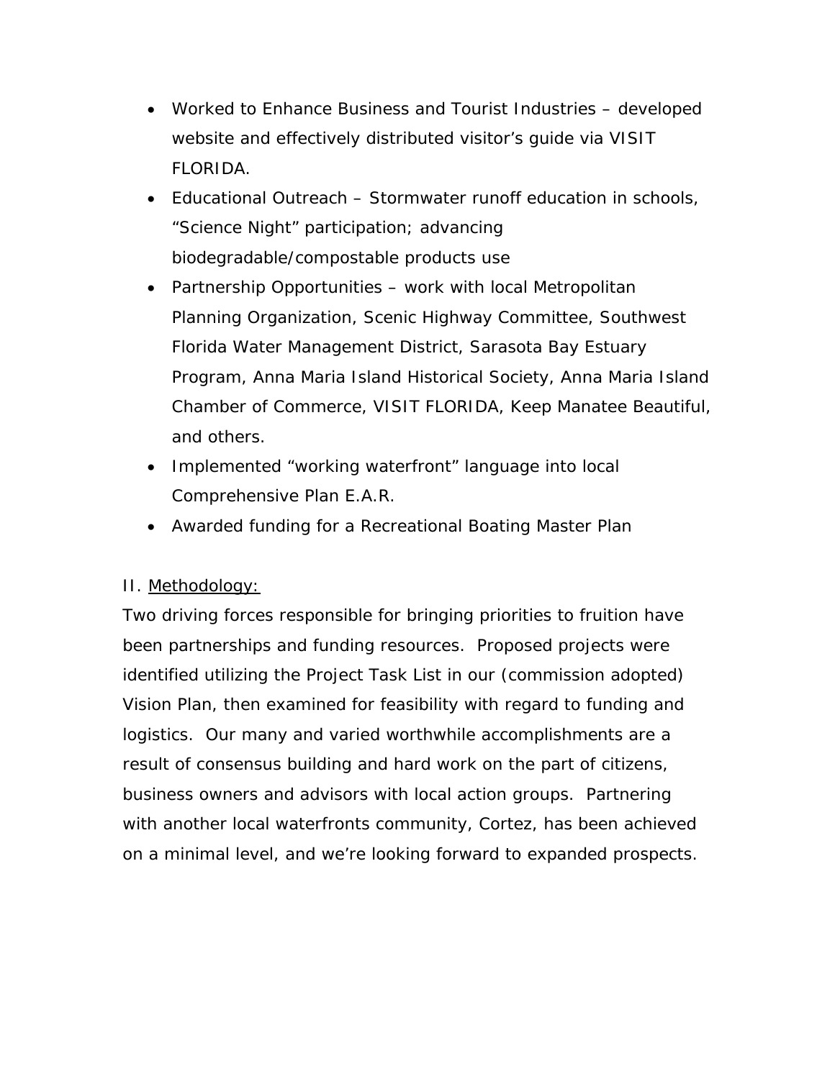- Worked to Enhance Business and Tourist Industries developed website and effectively distributed visitor's guide via VISIT FLORIDA.
- Educational Outreach Stormwater runoff education in schools, "Science Night" participation; advancing biodegradable/compostable products use
- Partnership Opportunities work with local Metropolitan Planning Organization, Scenic Highway Committee, Southwest Florida Water Management District, Sarasota Bay Estuary Program, Anna Maria Island Historical Society, Anna Maria Island Chamber of Commerce, VISIT FLORIDA, Keep Manatee Beautiful, and others.
- Implemented "working waterfront" language into local Comprehensive Plan E.A.R.
- Awarded funding for a Recreational Boating Master Plan

### II. Methodology:

Two driving forces responsible for bringing priorities to fruition have been partnerships and funding resources. Proposed projects were identified utilizing the Project Task List in our (commission adopted) Vision Plan, then examined for feasibility with regard to funding and logistics. Our many and varied worthwhile accomplishments are a result of consensus building and hard work on the part of citizens, business owners and advisors with local action groups. Partnering with another local waterfronts community, Cortez, has been achieved on a minimal level, and we're looking forward to expanded prospects.